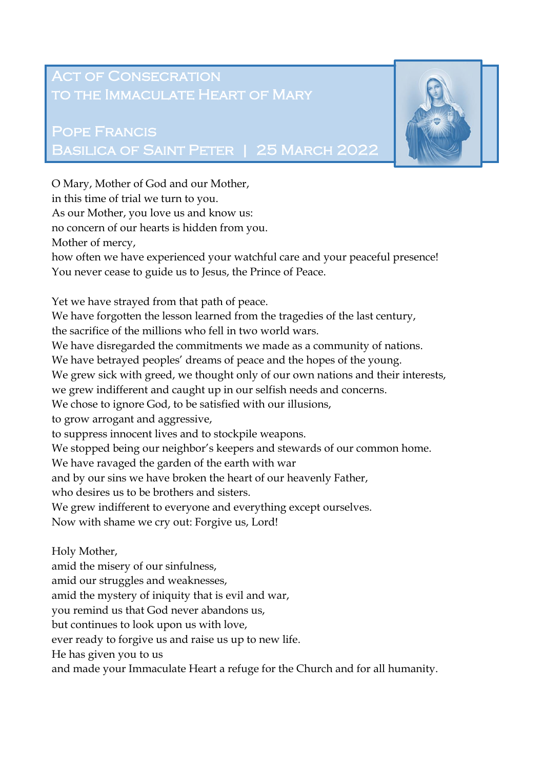## **ACT OF CONSECRATION** to the Immaculate Heart of Mary

## Pope Francis Basilica of Saint Peter | 25 March 2022



He has given you to us

and made your Immaculate Heart a refuge for the Church and for all humanity.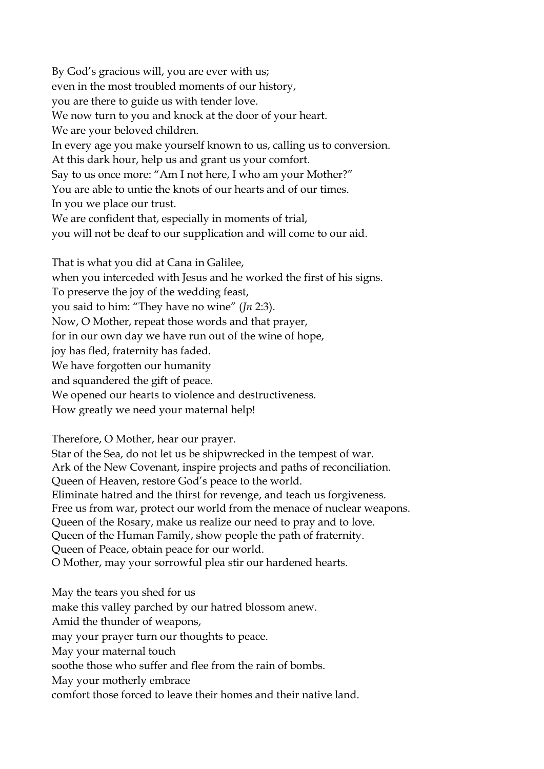By God's gracious will, you are ever with us; even in the most troubled moments of our history, you are there to guide us with tender love. We now turn to you and knock at the door of your heart. We are your beloved children. In every age you make yourself known to us, calling us to conversion. At this dark hour, help us and grant us your comfort. Say to us once more: "Am I not here, I who am your Mother?" You are able to untie the knots of our hearts and of our times. In you we place our trust. We are confident that, especially in moments of trial, you will not be deaf to our supplication and will come to our aid.

That is what you did at Cana in Galilee, when you interceded with Jesus and he worked the first of his signs. To preserve the joy of the wedding feast, you said to him: "They have no wine" (*Jn* 2:3). Now, O Mother, repeat those words and that prayer, for in our own day we have run out of the wine of hope, joy has fled, fraternity has faded. We have forgotten our humanity and squandered the gift of peace. We opened our hearts to violence and destructiveness. How greatly we need your maternal help!

Therefore, O Mother, hear our prayer.

Star of the Sea, do not let us be shipwrecked in the tempest of war. Ark of the New Covenant, inspire projects and paths of reconciliation. Queen of Heaven, restore God's peace to the world. Eliminate hatred and the thirst for revenge, and teach us forgiveness. Free us from war, protect our world from the menace of nuclear weapons. Queen of the Rosary, make us realize our need to pray and to love. Queen of the Human Family, show people the path of fraternity. Queen of Peace, obtain peace for our world. O Mother, may your sorrowful plea stir our hardened hearts.

May the tears you shed for us make this valley parched by our hatred blossom anew. Amid the thunder of weapons, may your prayer turn our thoughts to peace. May your maternal touch soothe those who suffer and flee from the rain of bombs. May your motherly embrace comfort those forced to leave their homes and their native land.